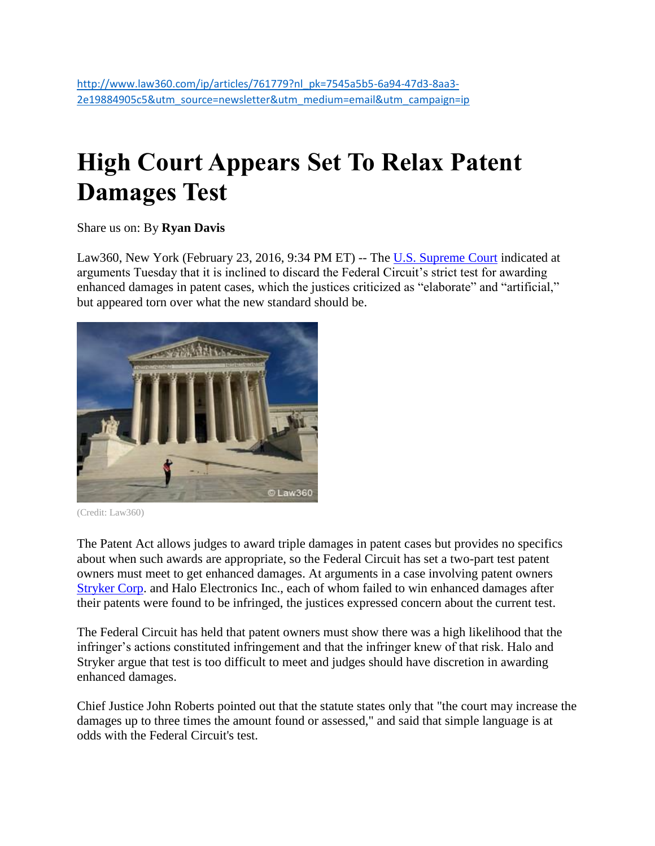## **High Court Appears Set To Relax Patent Damages Test**

Share us on: By **Ryan Davis**

Law360, New York (February 23, 2016, 9:34 PM ET) -- The [U.S. Supreme Court](http://www.law360.com/agencies/u-s-supreme-court) indicated at arguments Tuesday that it is inclined to discard the Federal Circuit's strict test for awarding enhanced damages in patent cases, which the justices criticized as "elaborate" and "artificial," but appeared torn over what the new standard should be.



<sup>(</sup>Credit: Law360)

The Patent Act allows judges to award triple damages in patent cases but provides no specifics about when such awards are appropriate, so the Federal Circuit has set a two-part test patent owners must meet to get enhanced damages. At arguments in a case involving patent owners [Stryker Corp.](http://www.law360.com/companies/stryker-corporation) and Halo Electronics Inc., each of whom failed to win enhanced damages after their patents were found to be infringed, the justices expressed concern about the current test.

The Federal Circuit has held that patent owners must show there was a high likelihood that the infringer's actions constituted infringement and that the infringer knew of that risk. Halo and Stryker argue that test is too difficult to meet and judges should have discretion in awarding enhanced damages.

Chief Justice John Roberts pointed out that the statute states only that "the court may increase the damages up to three times the amount found or assessed," and said that simple language is at odds with the Federal Circuit's test.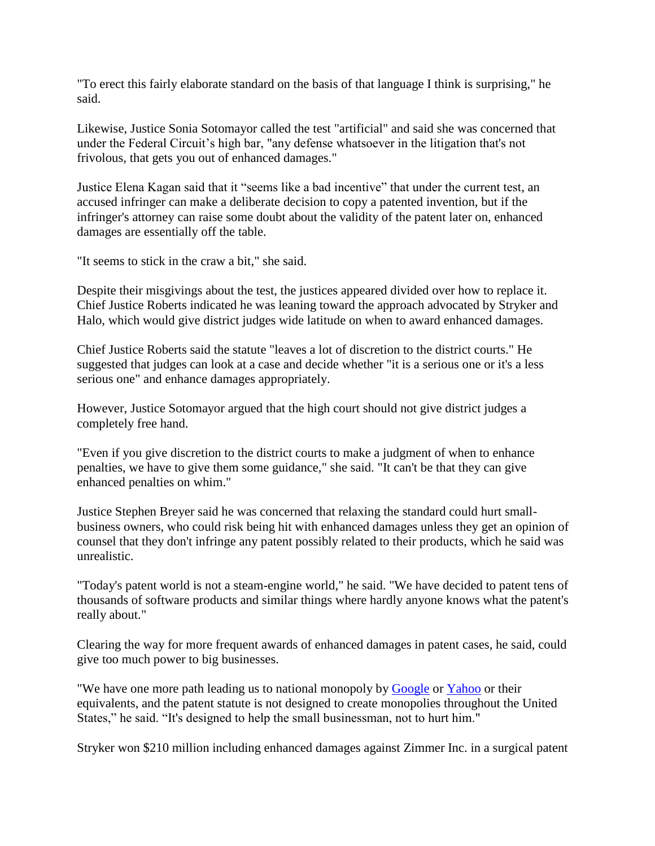"To erect this fairly elaborate standard on the basis of that language I think is surprising," he said.

Likewise, Justice Sonia Sotomayor called the test "artificial" and said she was concerned that under the Federal Circuit's high bar, "any defense whatsoever in the litigation that's not frivolous, that gets you out of enhanced damages."

Justice Elena Kagan said that it "seems like a bad incentive" that under the current test, an accused infringer can make a deliberate decision to copy a patented invention, but if the infringer's attorney can raise some doubt about the validity of the patent later on, enhanced damages are essentially off the table.

"It seems to stick in the craw a bit," she said.

Despite their misgivings about the test, the justices appeared divided over how to replace it. Chief Justice Roberts indicated he was leaning toward the approach advocated by Stryker and Halo, which would give district judges wide latitude on when to award enhanced damages.

Chief Justice Roberts said the statute "leaves a lot of discretion to the district courts." He suggested that judges can look at a case and decide whether "it is a serious one or it's a less serious one" and enhance damages appropriately.

However, Justice Sotomayor argued that the high court should not give district judges a completely free hand.

"Even if you give discretion to the district courts to make a judgment of when to enhance penalties, we have to give them some guidance," she said. "It can't be that they can give enhanced penalties on whim."

Justice Stephen Breyer said he was concerned that relaxing the standard could hurt smallbusiness owners, who could risk being hit with enhanced damages unless they get an opinion of counsel that they don't infringe any patent possibly related to their products, which he said was unrealistic.

"Today's patent world is not a steam-engine world," he said. "We have decided to patent tens of thousands of software products and similar things where hardly anyone knows what the patent's really about."

Clearing the way for more frequent awards of enhanced damages in patent cases, he said, could give too much power to big businesses.

"We have one more path leading us to national monopoly by [Google](http://www.law360.com/companies/google-inc) or [Yahoo](http://www.law360.com/companies/yahoo-inc) or their equivalents, and the patent statute is not designed to create monopolies throughout the United States," he said. "It's designed to help the small businessman, not to hurt him."

Stryker won \$210 million including enhanced damages against Zimmer Inc. in a surgical patent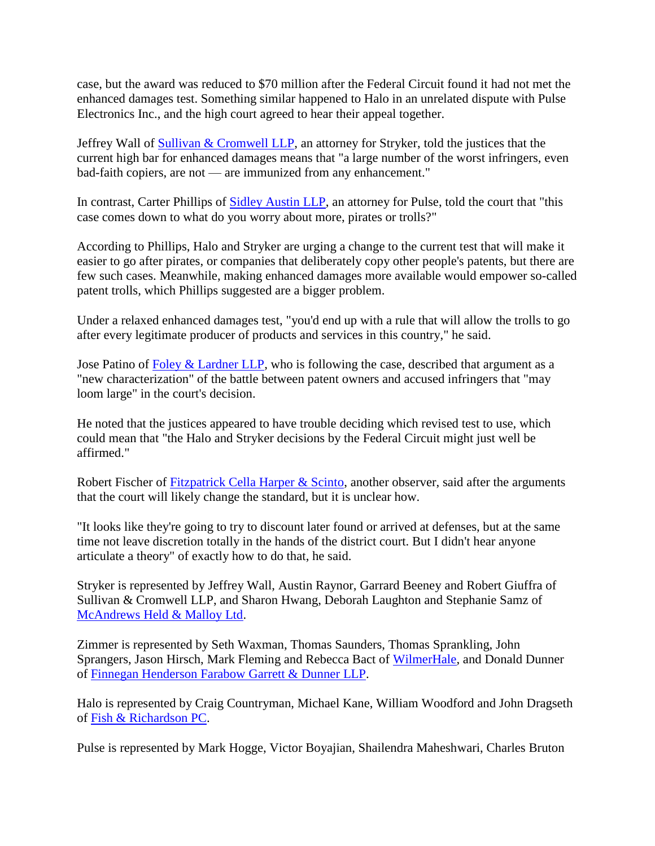case, but the award was reduced to \$70 million after the Federal Circuit found it had not met the enhanced damages test. Something similar happened to Halo in an unrelated dispute with Pulse Electronics Inc., and the high court agreed to hear their appeal together.

Jeffrey Wall of [Sullivan & Cromwell LLP,](http://www.law360.com/firms/sullivan-cromwell) an attorney for Stryker, told the justices that the current high bar for enhanced damages means that "a large number of the worst infringers, even bad-faith copiers, are not — are immunized from any enhancement."

In contrast, Carter Phillips of [Sidley Austin LLP,](http://www.law360.com/firms/sidley-austin) an attorney for Pulse, told the court that "this case comes down to what do you worry about more, pirates or trolls?"

According to Phillips, Halo and Stryker are urging a change to the current test that will make it easier to go after pirates, or companies that deliberately copy other people's patents, but there are few such cases. Meanwhile, making enhanced damages more available would empower so-called patent trolls, which Phillips suggested are a bigger problem.

Under a relaxed enhanced damages test, "you'd end up with a rule that will allow the trolls to go after every legitimate producer of products and services in this country," he said.

Jose Patino of [Foley & Lardner LLP,](http://www.law360.com/firms/foley-lardner) who is following the case, described that argument as a "new characterization" of the battle between patent owners and accused infringers that "may loom large" in the court's decision.

He noted that the justices appeared to have trouble deciding which revised test to use, which could mean that "the Halo and Stryker decisions by the Federal Circuit might just well be affirmed."

Robert Fischer of Fitzpatrick Cella Harper  $\&$  Scinto, another observer, said after the arguments that the court will likely change the standard, but it is unclear how.

"It looks like they're going to try to discount later found or arrived at defenses, but at the same time not leave discretion totally in the hands of the district court. But I didn't hear anyone articulate a theory" of exactly how to do that, he said.

Stryker is represented by Jeffrey Wall, Austin Raynor, Garrard Beeney and Robert Giuffra of Sullivan & Cromwell LLP, and Sharon Hwang, Deborah Laughton and Stephanie Samz of [McAndrews Held & Malloy Ltd.](http://www.law360.com/firms/mcandrews-held)

Zimmer is represented by Seth Waxman, Thomas Saunders, Thomas Sprankling, John Sprangers, Jason Hirsch, Mark Fleming and Rebecca Bact of [WilmerHale,](http://www.law360.com/firms/wilmerhale) and Donald Dunner of [Finnegan Henderson Farabow Garrett & Dunner LLP.](http://www.law360.com/firms/finnegan)

Halo is represented by Craig Countryman, Michael Kane, William Woodford and John Dragseth of [Fish & Richardson PC.](http://www.law360.com/firms/fish-richardson)

Pulse is represented by Mark Hogge, Victor Boyajian, Shailendra Maheshwari, Charles Bruton